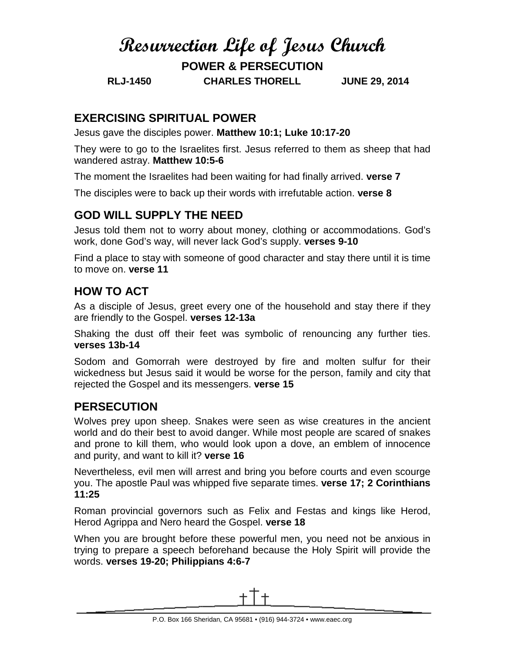# **Resurrection Life of Jesus Church**

**POWER & PERSECUTION**

**RLJ-1450 CHARLES THORELL JUNE 29, 2014**

#### **EXERCISING SPIRITUAL POWER**

Jesus gave the disciples power. **Matthew 10:1; Luke 10:17-20**

They were to go to the Israelites first. Jesus referred to them as sheep that had wandered astray. **Matthew 10:5-6**

The moment the Israelites had been waiting for had finally arrived. **verse 7**

The disciples were to back up their words with irrefutable action. **verse 8**

## **GOD WILL SUPPLY THE NEED**

Jesus told them not to worry about money, clothing or accommodations. God's work, done God's way, will never lack God's supply. **verses 9-10**

Find a place to stay with someone of good character and stay there until it is time to move on. **verse 11**

## **HOW TO ACT**

As a disciple of Jesus, greet every one of the household and stay there if they are friendly to the Gospel. **verses 12-13a**

Shaking the dust off their feet was symbolic of renouncing any further ties. **verses 13b-14**

Sodom and Gomorrah were destroyed by fire and molten sulfur for their wickedness but Jesus said it would be worse for the person, family and city that rejected the Gospel and its messengers. **verse 15**

## **PERSECUTION**

Wolves prey upon sheep. Snakes were seen as wise creatures in the ancient world and do their best to avoid danger. While most people are scared of snakes and prone to kill them, who would look upon a dove, an emblem of innocence and purity, and want to kill it? **verse 16**

Nevertheless, evil men will arrest and bring you before courts and even scourge you. The apostle Paul was whipped five separate times. **verse 17; 2 Corinthians 11:25**

Roman provincial governors such as Felix and Festas and kings like Herod, Herod Agrippa and Nero heard the Gospel. **verse 18**

When you are brought before these powerful men, you need not be anxious in trying to prepare a speech beforehand because the Holy Spirit will provide the words. **verses 19-20; Philippians 4:6-7**